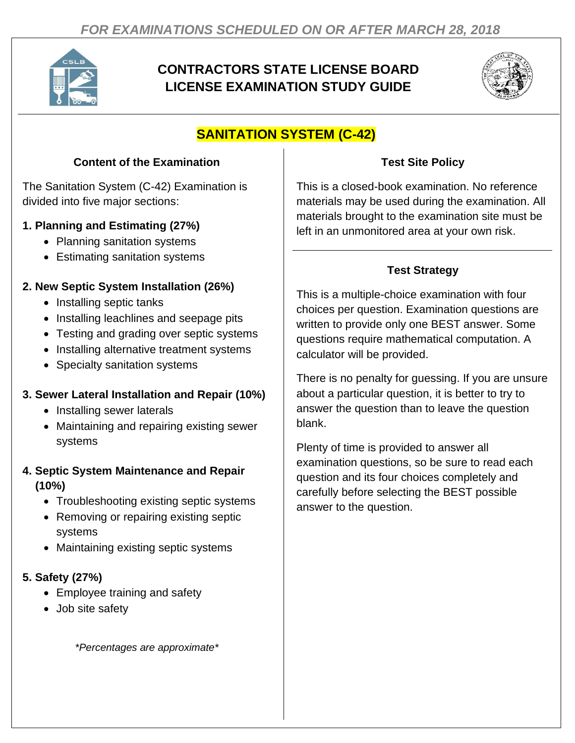

# **CONTRACTORS STATE LICENSE BOARD LICENSE EXAMINATION STUDY GUIDE**



# **SANITATION SYSTEM (C-42)**

### **Content of the Examination**

The Sanitation System (C-42) Examination is divided into five major sections:

### **1. Planning and Estimating (27%)**

- Planning sanitation systems
- Estimating sanitation systems

### **2. New Septic System Installation (26%)**

- Installing septic tanks
- Installing leachlines and seepage pits
- Testing and grading over septic systems
- Installing alternative treatment systems
- Specialty sanitation systems

### **3. Sewer Lateral Installation and Repair (10%)**

- Installing sewer laterals
- Maintaining and repairing existing sewer systems

#### **4. Septic System Maintenance and Repair (10%)**

- Troubleshooting existing septic systems
- Removing or repairing existing septic systems
- Maintaining existing septic systems

### **5. Safety (27%)**

- Employee training and safety
- Job site safety

*\*Percentages are approximate\**

### **Test Site Policy**

This is a closed-book examination. No reference materials may be used during the examination. All materials brought to the examination site must be left in an unmonitored area at your own risk.

## **Test Strategy**

This is a multiple-choice examination with four choices per question. Examination questions are written to provide only one BEST answer. Some questions require mathematical computation. A calculator will be provided.

There is no penalty for guessing. If you are unsure about a particular question, it is better to try to answer the question than to leave the question blank.

Plenty of time is provided to answer all examination questions, so be sure to read each question and its four choices completely and carefully before selecting the BEST possible answer to the question.